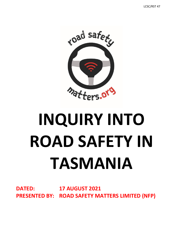

# **INQUIRY INTO ROAD SAFETY IN TASMANIA**

**DATED: 17 AUGUST 2021 PRESENTED BY: ROAD SAFETY MATTERS LIMITED (NFP)**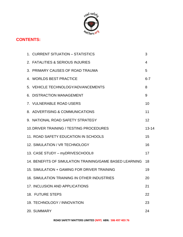

# **CONTENTS:**

| 1. CURRENT SITUATION - STATISTICS                       | 3         |
|---------------------------------------------------------|-----------|
| 2. FATALITIES & SERIOUS INJURIES                        | 4         |
| 3. PRIMARY CAUSES OF ROAD TRAUMA                        | 5         |
| 4. WORLDS BEST PRACTICE                                 | $6 - 7$   |
| 5. VEHICLE TECHNOLOGY/ADVANCEMENTS                      | 8         |
| 6. DISTRACTION MANAGEMENT                               | 9         |
| 7. VULNERABLE ROAD USERS                                | 10        |
| 8. ADVERTISING & COMMUNICATIONS                         | 11        |
| 9. NATIONAL ROAD SAFETY STRATEGY                        | 12        |
| <b>10. DRIVER TRAINING / TESTING PROCEDURES</b>         | $13 - 14$ |
| 11. ROAD SAFETY EDUCATION IN SCHOOLS                    | 15        |
| 12. SIMULATION / VR TECHNOLOGY                          | 16        |
| 13. CASE STUDY - myDRIVESCHOOL®                         | 17        |
| 14. BENEFITS OF SIMULATION TRAINING/GAME BASED LEARNING | 18        |
| 15. SIMULATION + GAMING FOR DRIVER TRAINING             | 19        |
| 16. SIMULATION TRAINING IN OTHER INDUSTRIES             | 20        |
| 17. INCLUSION AND APPLICATIONS                          | 21        |
| 18. FUTURE STEPS                                        | 22        |
| 19. TECHNOLOGY / INNOVATION                             | 23        |
| 20. SUMMARY                                             | 24        |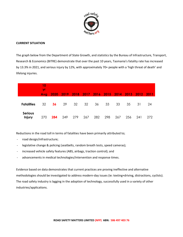

### **CURRENT SITUATION**

The graph below from the Department of State Growth, and statistics by the Bureau of Infrastructure, Transport, Research & Economics (BITRE) demonstrate that over the past 10 years, Tasmania's fatality rate has increased by 13.3% in 2021, and serious injury by 12%, with approximately 70+ people with a 'high threat of death' and lifelong injuries.

|                          | 10<br>yr<br>Avg |     |     |     |     |     |     |     |     | 2020 2019 2018 2017 2016 2015 2014 2013 2012 2011 |     |
|--------------------------|-----------------|-----|-----|-----|-----|-----|-----|-----|-----|---------------------------------------------------|-----|
| <b>Fatalities</b>        | 32              | 36  | 29  | 32  | 32  | 36  | 33  | 33  | 35  | 31                                                | 24  |
| <b>Serious</b><br>Injury | 270             | 284 | 249 | 279 | 267 | 282 | 298 | 267 | 256 | 241                                               | 272 |

Reductions in the road toll in terms of fatalities have been primarily attributed to;

- road design/infrastructure;
- legislative change & policing (seatbelts, random breath tests, speed cameras);
- increased vehicle safety features (ABS, airbags, traction control); and
- advancements in medical technologies/intervention and response times.

Evidence based on data demonstrates that current practices are proving ineffective and alternative methodologies should be investigated to address modern-day issues (ie: texting+driving, distractions, cyclists). The road safety industry is lagging in the adoption of technology, successfully used in a variety of other industries/applications.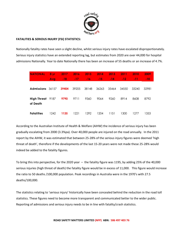

### **FATALITIES & SERIOUS INJURY (FSI) STATISTICS:**

Nationally fatality rates have seen a slight decline, whilst serious injury rates have escalated disproportionately. Serious injury statistics have an extended reporting lag, but estimates from 2020 are over 44,000 for hospital admissions Nationally. Year to date Nationally there has been an increase of 55 deaths or an increase of 4.7%.

| <b>NATIONAL</b>         | 8 <sub>vr</sub> | 2017  | 2016  | 2015  | 2014  | 2013  | 2011  | 2010  | 2009  |
|-------------------------|-----------------|-------|-------|-------|-------|-------|-------|-------|-------|
|                         | Avg             | $-18$ | $-17$ | $-16$ | $-15$ | $-14$ | $-12$ | $-11$ | $-10$ |
|                         |                 |       |       |       |       |       |       |       |       |
| <b>Admissions</b> 36157 |                 | 39404 | 39205 | 38148 | 36263 | 35464 | 34550 | 33240 | 32981 |
|                         |                 |       |       |       |       |       |       |       |       |
| High Threat 9187        |                 | 9790  | 9711  | 9360  | 9064  | 9260  | 8914  | 8608  | 8792  |
| of Death                |                 |       |       |       |       |       |       |       |       |
|                         |                 |       |       |       |       |       |       |       |       |
| <b>Fatalities</b>       | 1242            | 1135  | 1221  | 1292  | 1204  | 1151  | 1300  | 1277  | 1353  |

According to the Australian Institute of Health & Welfare (AIHW) the incidence of serious injury has been gradually escalating from 2000 (3.3%pa). Over 40,000 people are injured on the road annually. In the 2011 report by the AIHW, it was estimated that between 25-28% of the serious injury figures were deemed 'high threat of death', therefore if the developments of the last 15-20 years were not made these 25-28% would indeed be added to the fatality figures.

To bring this into perspective, for the 2020 year – the fatality figure was 1195, by adding 25% of the 40,000 serious injuries (high threat of death) the fatality figure would be in excess of 11,000. This figure would increase the ratio to 50 deaths /100,000 population. Peak recordings in Australia were in the 1970's with 27.5 deaths/100,000.

The statistics relating to 'serious injury' historically have been concealed behind the reduction in the road toll statistics. These figures need to become more transparent and communicated better to the wider public. Reporting of admissions and serious injury needs to be in line with fatality/crash statistics.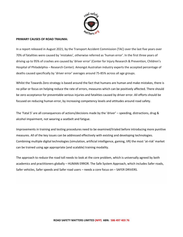

### **PRIMARY CAUSES OF ROAD TRAUMA:**

In a report released in August 2021, by the Transport Accident Commission (TAC) over the last five years over 70% of fatalities were caused by 'mistakes', otherwise referred as 'human error'. In the first three years of driving up to 95% of crashes are caused by 'driver error' (Center for Injury Research & Prevention, Children's Hospital of Philadelphia – Research Center). Amongst Australian industry experts the accepted percentage of deaths caused specifically by 'driver error' averages around 75-85% across all age groups.

Whilst the Towards Zero strategy is based around the fact that humans are human and make mistakes, there is no pillar or focus on helping reduce the rate of errors, measures which can be positively affected. There should be zero acceptance for preventable serious injuries and fatalities caused by driver error. All efforts should be focused on reducing human error, by increasing competency levels and attitudes around road safety.

The 'Fatal 5' are all consequences of actions/decisions made by the 'driver' – speeding, distractions, drug & alcohol impairment, not wearing a seatbelt and fatigue.

Improvements in training and testing procedures need to be examined/trialed before introducing more punitive measures. All of the key issues can be addressed effectively with existing and developing technologies. Combining multiple digital technologies (simulation, artificial intelligence, gaming, VR) the most 'at-risk' market can be trained using age appropriate (and scalable) training modality.

The approach to reduce the road toll needs to look at the core problem, which is universally agreed by both academics and practitioners globally – HUMAN ERROR. The Safe System Approach, which includes Safer roads, Safer vehicles, Safer speeds and Safer road users – needs a core focus on – SAFER DRIVERS.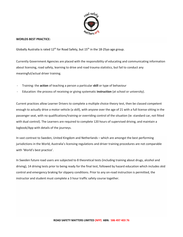

### **WORLDS BEST PRACTICE:**

Globally Australia is rated  $12<sup>th</sup>$  for Road Safety, but  $15<sup>th</sup>$  in the  $18-25$ yo age group.

Currently Government Agencies are placed with the responsibility of educating and communicating information about licensing, road safety, learning to drive and road trauma statistics, but fail to conduct any meaningful/actual driver training.

- Training: the **action** of teaching a person a particular **skill** or type of behaviour
- Education: the process of receiving or giving systematic **instruction** (at school or university).

Current practices allow Learner Drivers to complete a multiple choice theory test, then be classed competent enough to actually drive a motor vehicle (a skill), with anyone over the age of 21 with a full license sitting in the passenger seat, with no qualifications/training or overriding control of the situation (ie: standard car, not fitted with dual control). The Learners are required to complete 120 hours of supervised driving, and maintain a logbook/App with details of the journeys.

In vast contrast to Sweden, United Kingdom and Netherlands – which are amongst the best performing jurisdictions in the World, Australia's licensing regulations and driver training procedures are not comparable with 'World's best practice'.

In Sweden future road users are subjected to 8 theoretical tests (including training about drugs, alcohol and driving), 14 driving tests prior to being ready for the final test, followed by hazard education which includes skid control and emergency braking for slippery conditions. Prior to any on-road instruction is permitted, the instructor and student must complete a 3 hour traffic safety course together.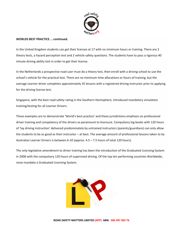

### **WORLDS BEST PRACTICE … continued.**

In the United Kingdom students can get their licenses at 17 with no minimum hours or training. There are 2 theory tests, a hazard perception test and 2 vehicle safety questions. The students have to pass a rigorous 40 minute driving ability test in order to get their license.

In the Netherlands a prospective road user must do a theory test, then enroll with a driving school to use the school's vehicle for the practical test. There are no minimum time allocations or hours of training, but the average Learner driver completes approximately 35 lessons with a registered driving instructor prior to applying for the driving license test.

Singapore, with the best road safety rating in the Southern Hemisphere, introduced mandatory simulation training/testing for all Learner Drivers.

These examples are to demonstrate 'World's best practice' and these jurisdictions emphasis on professional driver training and competency of the drivers as paramount to licensure. Compulsory log books with 120 hours of 'lay driving instruction' delivered predominately by untrained instructors (parents/guardians) can only allow the students to be as good as their instructor – at best. The average amount of professional lessons taken to by Australian Learner Drivers is between 6-10 (approx. 4.5 – 7.5 hours of total 120 hours).

The only legislative amendment to driver training has been the introduction of the Graduated Licensing System in 2008 with the compulsory 120 hours of supervised driving. Of the top ten performing countries Worldwide, none mandate a Graduated Licensing System.

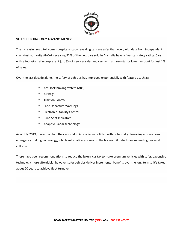

### **VEHICLE TECHNOLOGY ADVANCEMENTS:**

The increasing road toll comes despite a study revealing cars are safer than ever, with data from independent crash-test authority ANCAP revealing 92% of the new cars sold in Australia have a five-star safety rating. Cars with a four-star rating represent just 3% of new car sales and cars with a three-star or lower account for just 1% of sales.

Over the last decade alone, the safety of vehicles has improved exponentially with features such as:

- Anti-lock braking system (ABS)
- Air Bags
- Traction Control
- Lane Departure Warnings
- **Electronic Stability Control**
- Blind Spot Indicators
- Adaptive Radar technology

As of July 2019, more than half the cars sold in Australia were fitted with potentially life-saving autonomous emergency braking technology, which automatically slams on the brakes if it detects an impending rear-end collision.

There have been recommendations to reduce the luxury car tax to make premium vehicles with safer, expensive technology more affordable, however safer vehicles deliver incremental benefits over the long term … it's takes about 20 years to achieve fleet turnover.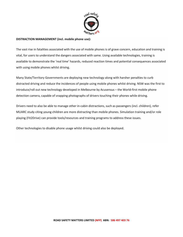

### **DISTRACTION MANAGEMENT (incl. mobile phone use):**

The vast rise in fatalities associated with the use of mobile phones is of grave concern, education and training is vital, for users to understand the dangers associated with same. Using available technologies, training is available to demonstrate the 'real time' hazards, reduced reaction times and potential consequences associated with using mobile phones whilst driving.

Many State/Territory Governments are deploying new technology along with harsher penalties to curb distracted driving and reduce the incidences of people using mobile phones whilst driving. NSW was the first to introduce/roll out new technology developed in Melbourne by Acusensus – the World-first mobile phone detection camera, capable of snapping photographs of drivers touching their phones while driving.

Drivers need to also be able to manage other in-cabin distractions, such as passengers (incl. children), refer MUARC study citing young children are more distracting than mobile phones. Simulation training and/or role playing (Fit2Drive) can provide tools/resources and training programs to address these issues.

Other technologies to disable phone usage whilst driving could also be deployed.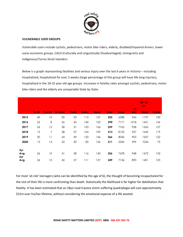

### **VULNERABLE USER GROUPS**

Vulnerable users include cyclists, pedestrians, motor bike riders, elderly, disabled/impaired drivers, lower socio-economic groups, CALD (Culturally and Linguistically Disadvantaged), immigrants and Indigenous/Torres Strait Islanders.

Below is a graph representing fatalities and serious injury over the last 6 years in Victoria – including hospitalized, hospitalized for over 2 weeks (large percentage of this group will have life long injuries), hospitalized in the 18-25 year old age groups. Increases in fatality rates amongst cyclists, pedestrians, motor bike riders and the elderly are comparable State by State.

|            | $16 - 20$ | Cyclist         | M/bike | <b>Peds</b> | Metro | <b>Rural</b> | Total | <b>Hosp</b> | >2<br><b>wks</b> | $18 - 25$<br><b>yo</b><br><b>Hosp</b> | >2wks |
|------------|-----------|-----------------|--------|-------------|-------|--------------|-------|-------------|------------------|---------------------------------------|-------|
| 2015       | 40        | 10              | 30     | 33          | 115   | 137          | 252   | 6288        | 965              | 1197                                  | 130   |
| 2016       | 22        | 8               | 56     | 40          | 140   | 150          | 290   | 7171        | 1018             | 1451                                  | 156   |
| 2017       | 26        | 12              | 38     | 31          | 103   | 156          | 259   | 7765        | 928              | 1565                                  | 137   |
| 2018       | 13        | $\overline{7}$  | 38     | 37          | 104   | 109          | 213   | 8122        | 927              | 1642                                  | 119   |
| 2019       | 30        | $\overline{11}$ | 44     | 49          | 120   | 146          | 266   | 8046        | 903              | 1507                                  | 122   |
| 2020       | 13        | 14              | 32     | 30          | 85    | 126          | 211   | 5426        | 599              | 1044                                  | 75    |
|            |           |                 |        |             |       |              |       |             |                  |                                       |       |
| 5yr<br>Avg | 26        | 10              | 41     | 38          | 116   | 140          | 256   | 7478        | 948              | 1472                                  | 133   |
| 6yr<br>Avg | 24        | 10              | 40     | 37          | 111   | 137          | 249   | 7136        | 890              | 1401                                  | 123   |

For most 'at-risk' teenagers (who can be identified by the age of 6), the thought of becoming incapacitated for the rest of their life is more confronting than death. Statistically the likelihood is far higher for debilitation that fatality. It has been estimated that an 18yo road trauma victim suffering quadriplegia will cost approximately \$15m over his/her lifetime, without considering the emotional expense of a life wasted.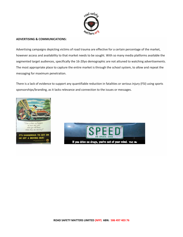

### **ADVERTISING & COMMUNICATIONS:**

Advertising campaigns depicting victims of road trauma are effective for a certain percentage of the market, however access and availability to that market needs to be sought. With so many media platforms available the segmented target audiences, specifically the 16-20yo demographic are not attuned to watching advertisements. The most appropriate place to capture the entire market is through the school system, to allow and repeat the messaging for maximum penetration.

There is a lack of evidence to support any quantifiable reduction in fatalities or serious injury (FSI) using sports sponsorships/branding, as it lacks relevance and connection to the issues or messages.



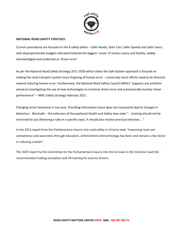

### **NATIONAL ROAD SAFETY STRATEGY:**

Current procedures are focused on the 4 safety pillars – Safer Roads, Safer Cars, Safer Speeds and Safer Users, with disproportionate budgets allocated towards the biggest 'cause' of serious injury and fatality, widely acknowledged and evidenced as 'driver error'.

As per the National Road Safety Strategy 2011-2020 which states the Safe System approach is focused on making the road transport system more forgiving of human error – conversely more efforts need to be directed toward reducing human error. Furthermore, the National Road Safety Council (NRSC) "supports any initiative aimed at investigating the use of new technologies to minimise driver error and automatically monitor driver performance" – NRSC Safety Strategy February 2011.

Changing driver behaviour is not easy. Providing information alone does not necessarily lead to changes in behaviour. Worksafe – the enforcers of Occupational Health and Safety laws state "… training should not be restricted to just delivering a talk on a specific topic. It should also involve practical exercises …"

In the 2013 report from the Parliamentary Inquiry into road safety in Victoria state "Improving road user competence and awareness through education, enforcement and technology has been and remains a key factor in reducing crashes".

The 2020 report by the Committee for the Parliamentary Inquiry into the increase in the Victorian road toll, recommended trialling simulation and VR training for Learner Drivers.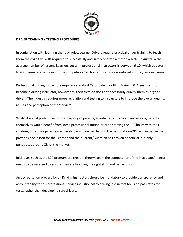

# **DRIVER TRAINING / TESTING PROCEDURES:**

In conjunction with learning the road rules, Learner Drivers require practical driver training to teach them the cognitive skills required to successfully and safely operate a motor vehicle. In Australia the average number of lessons Learners get with professional instructors is between 6-10, which equates to approximately 5-8 hours of the compulsory 120 hours. This figure is reduced in rural/regional areas.

Professional driving instructors require a standard Certificate III or IV in Training & Assessment to become a driving instructor, however this certification does not necessarily qualify them as a 'good driver'. The industry requires more regulation and testing to instructors to improve the overall quality, results and perception of the 'service'.

Whilst it is cost prohibitive for the majority of parents/guardians to buy too many lessons, parents themselves would benefit from some professional tuition prior to starting the 120 hours with their children, otherwise parents are merely passing on bad habits. The national Keys2Driving initiative that provides one lesson for the Learner and their Parent/Guardian has proven beneficial, but only penetrates around 8% of the market.

Initiatives such as the L2P program are great in theory, again the competency of the instructor/mentor needs to be assessed to ensure they are teaching the right skills and behaviours.

An accreditation process for all Driving Instructors should be mandatory to provide transparency and accountability to this professional service industry. Many driving instructors focus on pass rates for tests, rather than developing safe drivers.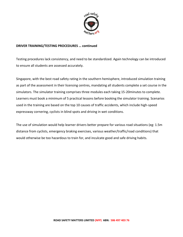

# **DRIVER TRAINING/TESTING PROCEDURES … continued**

Testing procedures lack consistency, and need to be standardized. Again technology can be introduced to ensure all students are assessed accurately.

Singapore, with the best road safety rating in the southern hemisphere, introduced simulation training as part of the assessment in their licensing centres, mandating all students complete a set course in the simulators. The simulator training comprises three modules each taking 15-20minutes to complete. Learners must book a minimum of 5 practical lessons before booking the simulator training. Scenarios used in the training are based on the top 10 causes of traffic accidents, which include high-speed expressway cornering, cyclists in blind spots and driving in wet conditions.

The use of simulation would help learner drivers better prepare for various road situations (eg: 1.5m distance from cyclists, emergency braking exercises, various weather/traffic/road conditions) that would otherwise be too hazardous to train for, and inculcate good and safe driving habits.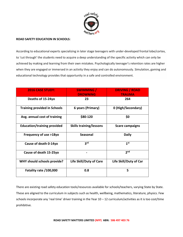

### **ROAD SAFETY EDUCATION IN SCHOOLS:**

According to educational experts specializing in later stage teenagers with under-developed frontal lobe/cortex, to 'cut through' the students need to acquire a deep understanding of the specific activity which can only be achieved by making and learning from their own mistakes. Psychologically teenager's retention rates are higher when they are engaged or immersed in an activity they enjoy and can do autonomously. Simulation, gaming and educational technology provides that opportunity in a safe and controlled environment.

| <b>2016 CASE STUDY:</b>             | <b>SWIMMING</b> /<br><b>DROWNING</b> | <b>DRIVING / ROAD</b><br><b>TRAUMA</b> |
|-------------------------------------|--------------------------------------|----------------------------------------|
| Deaths of 15-24yo                   | 23                                   | 264                                    |
| <b>Training provided in Schools</b> | 6 years (Primary)                    | 0 (High/Secondary)                     |
| Avg. annual cost of training        | \$80-120                             | \$0                                    |
| <b>Education/training provided</b>  | <b>Skills training/lessons</b>       | <b>Scare campaigns</b>                 |
| Frequency of use >18yo              | <b>Seasonal</b>                      | <b>Daily</b>                           |
| Cause of death 0-14yo               | 3 <sup>rd</sup>                      | 1 <sup>st</sup>                        |
| Cause of death 15-25yo              |                                      | 2 <sub>nd</sub>                        |
| WHY should schools provide?         | <b>Life Skill/Duty of Care</b>       | Life Skill/Duty of Car                 |
| Fatality rate /100,000              | 0.8                                  | 5                                      |

There are existing road safety education tools/resources available for schools/teachers, varying State by State. These are aligned to the curriculum in subjects such as health, wellbeing, mathematics, literature, physics. Few schools incorporate any 'real time' driver training in the Year  $10 - 12$  curriculum/activities as it is too cost/time prohibitive.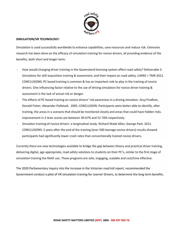

### **SIMULATION/VR TECHNOLOGY:**

Simulation is used successfully worldwide to enhance capabilities, save resources and reduce risk. Extensive research has been done on the efficacy of simulation training for novice drivers, all providing evidence of the benefits, both short and longer term.

- How would changing driver training in the Queensland licensing system affect road safety? Deliverable 2: Simulators for skill acquisition training & assessment, and their impact on road safety. CARRS + TMR 2013. CONCLUSIONS: PC based training is common & has an important role to play in the training of novice drivers. One influencing factor relative to the use of driving simulators for novice driver training & assessment is the lack of actual risk or danger.
- The effects of PC based training on novice drivers' risk awareness in a driving simulator. Anuj Pradhan, Donald Fisher, Alexander Pollatsek. 2005. CONCLUSION: Participants were better able to identify, after training, the areas in a scenario that should be monitored closely and areas that could have hidden risks. Improvement in 2 tests scores are between 39-67% and 51-70% respectively.
- Simulator training of novice drivers: a longitudinal study. Richard Wade Allen, George Park. 2011. CONCLUSIONS: 2 years after the end of the training (over 500 teenage novice drivers) results showed participants had significantly lower crash rates than conventionally trained novice drivers.

Currently there are new technologies available to bridge the gap between theory and practical driver training, delivering digital, age appropriate, road safety solutions to students on their PC's, similar to the first stage of simulation training the RAAF use. These programs are safe, engaging, scalable and cost/time effective.

The 2020 Parliamentary Inquiry into the increase in the Victorian road toll report, recommended the Government conduct a pilot of VR simulation training for Learner Drivers, to determine the long term benefits.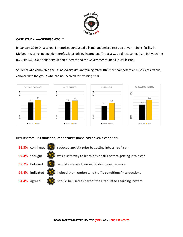

# **CASE STUDY: myDRIVESCHOOL®**

In January 2019 Driveschool Enterprises conducted a blind randomised test at a driver training facility in Melbourne, using independent professional driving instructors. The test was a direct comparison between the myDRIVESCHOOL® online simulation program and the Government funded in-car lesson.

Students who completed the PC-based simulation training rated 48% more competent and 17% less anxious, compared to the group who had no received the training prior.



Results from 120 student questionnaires (none had driven a car prior):

|              | 91.3% confirmed (MD) reduced anxiety prior to getting into a 'real' car                    |
|--------------|--------------------------------------------------------------------------------------------|
|              | <b>99.4%</b> thought $(MD)$ was a safe way to learn basic skills before getting into a car |
|              | <b>95.7%</b> believed $(MD)$ would improve their initial driving experience                |
|              | <b>94.4%</b> indicated $(MD)$ helped them understand traffic conditions/intersections      |
| 94.4% agreed | $(M)$ should be used as part of the Graduated Learning System                              |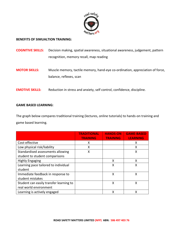

## **BENEFITS OF SIMUALTION TRAINING:**

- **COGNITIVE SKILLS:** Decision making, spatial awareness, situational awareness, judgement, pattern recognition, memory recall, map reading
- **MOTOR SKILLS:** Muscle memory, tactile memory, hand-eye co-ordination, appreciation of force, balance, reflexes, scan
- **EMOTIVE SKILLS:** Reduction in stress and anxiety, self control, confidence, discipline.

### **GAME BASED LEARNING:**

The graph below compares traditional training (lectures, online tutorials) to hands-on training and game based learning.

|                                         | <b>TRADITIONAL</b> | <b>HANDS-ON</b> | <b>GAME-BASED</b> |
|-----------------------------------------|--------------------|-----------------|-------------------|
|                                         | <b>TRAINING</b>    | <b>TRAINING</b> | <b>LEARNING</b>   |
| Cost-effective                          | x                  |                 | x                 |
| Low physical risk/liability             | X                  |                 | X                 |
| Standardised assessments allowing       | x                  |                 | X                 |
| student to student comparisons          |                    |                 |                   |
| <b>Highly Engaging</b>                  |                    | X               | X                 |
| Learning pace tailored to individual    |                    | X               | X                 |
| student                                 |                    |                 |                   |
| Immediate feedback in response to       |                    | X               | X                 |
| student mistakes                        |                    |                 |                   |
| Student can easily transfer learning to |                    | Χ               | Χ                 |
| real world environment                  |                    |                 |                   |
| Learning is actively engaged            |                    | x               | x                 |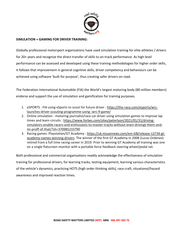

# **SIMULATION + GAMING FOR DRIVER TRAINING:**

Globally professional motorsport organisations have used simulation training for elite athletes / drivers for 20+ years and recognize the direct transfer of skills to on-track performance. As high level performance can be assessed and developed using these training methodologies for higher order skills, it follows that improvement in general cognitive skills, driver competency and behaviours can be achieved using software 'built for purpose', thus creating safer drivers on road.

The Federation International Automobile (FIA) the World's largest motoring body (80 million members) endorse and support the use of simulation and gamification for training purposes.

- 1. eSPORTS : FIA using eSports to scout for future driver : [https://the-race.com/esports/wrc](https://the-race.com/esports/wrc-launches-driver-scouting-programme-using%20-wrc-9-game/)[launches-driver-scouting-programme-using -wrc-9-game/](https://the-race.com/esports/wrc-launches-driver-scouting-programme-using%20-wrc-9-game/)
- 2. Online simulation : motoring journalist/race car driver using simulation games to improve lap times and learn circuits : [https://www.forbes.com/sites/peterlyon/2021/01/31/driving](https://www.forbes.com/sites/peterlyon/2021/01/31/driving-simulators-enable-racers-and-enthusiasts-to-master-tracks-without-enen-drivingt-them-and-im-proff-of-that/?sh=370985233790)[simulators-enable-racers-and-enthusiasts-to-master-tracks-without-enen-drivingt-them-and](https://www.forbes.com/sites/peterlyon/2021/01/31/driving-simulators-enable-racers-and-enthusiasts-to-master-tracks-without-enen-drivingt-them-and-im-proff-of-that/?sh=370985233790)[im-proff-of-that/?sh=370985233790](https://www.forbes.com/sites/peterlyon/2021/01/31/driving-simulators-enable-racers-and-enthusiasts-to-master-tracks-without-enen-drivingt-them-and-im-proff-of-that/?sh=370985233790)
- 3. Racing games: Playstation/GT Academy : [https://uk.nissannews.com/em-GB/release-13734-gt](https://uk.nissannews.com/em-GB/release-13734-gt-academy-names-winning-drivers)[academy-names-winning-drivers](https://uk.nissannews.com/em-GB/release-13734-gt-academy-names-winning-drivers) The winner of the first GT Academy in 2008 (Lucas Ordenex) retired from a full time racing career in 2019. Prior to winning GT Academy all training was one on a single flatscreen monitor with a portable force feedback steering wheel/pedal set.

Both professional and commercial organisations readily acknowledge the effectiveness of simulation training for professional drivers, for learning tracks, testing equipment, learning various characteristics of the vehicle's dynamics, practicing HOTS (high order thinking skills), race craft, situational/hazard awareness and improved reaction times.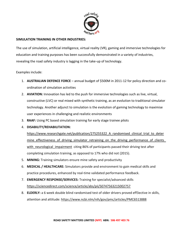

# **SIMULATION TRAINING IN OTHER INDUSTRIES:**

The use of simulation, artificial intelligence, virtual reality (VR), gaming and immersive technologies for education and training purposes has been successfully demonstrated in a variety of industries, revealing the road safety industry is lagging in the take-up of technology.

# Examples include:

- 1. **AUSTRALIAN DEFENCE FORCE** annual budget of \$500M in 2011-12 for policy direction and coordination of simulation activities
- 2. **AVIATION:** Innovation has led to the push for immersive technologies such as live, virtual, constructive (LVC) or real mixed with synthetic training, as an evolution to traditional simulator technology. Another adjunct to simulation is the evolution of gaming technology to maximise user experiences in challenging and realistic environments
- 3. **RAAF:** Using PC based simulation training for early stage trainee pilots
- 4. **DISABILITY/REHABILITATION:**

https://www.researchgate.net/publication/275255322 A randomised clinical trial to deter mine effectiveness of driving simulator retraining on the driving performance of clients with neurological impairment citing 86% of participants passed their driving test after completing simulation training, as opposed to 17% who did not (2015).

- 5. **MINING:** Training simulators ensure mine safety and productivity
- 6. **MEDICAL / HEALTHCARE:** Simulators provide and environment to gain medical skills and practice procedures, enhanced by real-time validated performance feedback.
- 7. **EMERGENCY RESPONSE/SERVICES:** Training for specialist/advanced skills <https://sciencedirect.com/science/article/abs/pii/S0747563215002757>
- 8. **ELDERLY:** a 6 week double blind randomised test of older drivers proved eff3ective in skills, attention and attitude:<https://www.ncbi.nlm/nih/gov/pmc/articles/PMC6513888>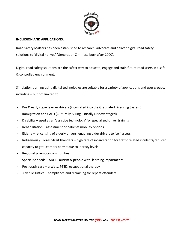

# **INCLUSION AND APPLICATIONS:**

Road Safety Matters has been established to research, advocate and deliver digital road safety solutions to 'digital natives' (Generation Z – those born after 2000).

Digital road safety solutions are the safest way to educate, engage and train future road users in a safe & controlled environment.

Simulation training using digital technologies are suitable for a variety of applications and user groups, including – but not limited to:

- Pre & early stage learner drivers (integrated into the Graduated Licensing System)
- Immigration and CALD (Culturally & Linguistically Disadvantaged)
- Disability used as an 'assistive technology' for specialized driver training
- $Rehabilitation assessment of patients mobility options$
- Elderly relicensing of elderly drivers, enabling older drivers to 'self assess'
- Indigenous / Torres Strait Islanders high rate of incarceration for traffic related incidents/reduced capacity to get Learners permit due to literacy levels
- Regional & remote communities
- Specialist needs ADHD, autism & people with learning impairments
- Post crash care anxiety, PTSD, occupational therapy
- Juvenile Justice compliance and retraining for repeat offenders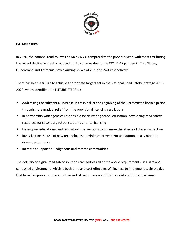

# **FUTURE STEPS:**

In 2020, the national road toll was down by 6.7% compared to the previous year, with most attributing the recent decline in greatly reduced traffic volumes due to the COVID-19 pandemic. Two States, Queensland and Tasmania, saw alarming spikes of 26% and 24% respectively.

There has been a failure to achieve appropriate targets set in the National Road Safety Strategy 2011- 2020, which identified the FUTURE STEPS as:

- Addressing the substantial increase in crash risk at the beginning of the unrestricted licence period through more gradual relief from the provisional licensing restrictions
- In partnership with agencies responsible for delivering school education, developing road safety resources for secondary school students prior to licensing
- Developing educational and regulatory interventions to minimize the effects of driver distraction
- Investigating the use of new technologies to minimize driver error and automatically monitor driver performance
- Increased support for Indigenous and remote communities

The delivery of digital road safety solutions can address all of the above requirements, in a safe and controlled environment, which is both time and cost effective. Willingness to implement technologies that have had proven success in other industries is paramount to the safety of future road users.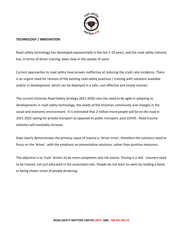

# **TECHNOLOGY / INNOVATION:**

Road safety technology has developed exponentially in the last 5-10 years, and the road safety industry has, in terms of driver training, been slow in the uptake of same.

Current approaches to road safety have proven ineffective at reducing the crash rate incidence. There is an urgent need for revision of the existing road safety practices / training with solutions available and/or in development, which can be deployed in a safe, cost effective and timely manner.

The current Victorian Road Safety Strategy 2021-2030 cites the need to be agile in adopting to developments in road safety technology, the needs of the Victorian community and changes in the social and economic environment. It is estimated that 2 million more people will be on the road in 2021-2022 opting for private transport as opposed to public transport, post COVID. Road trauma statistics will inevitably increase.

Data clearly demonstrates the primary cause of trauma is 'driver error', therefore the solutions need to focus on the 'driver', with the emphasis on preventative solutions, rather than punitive measures.

The objective is to 'train' drivers to be more competent and risk averse. Driving is a skill. Learners need to be trained, not just educated in the associated risks. People do not learn to swim by reading a book, or being shown vision of people drowning.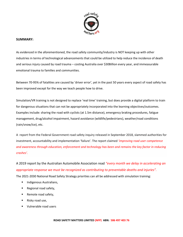

### **SUMMARY:**

As evidenced in the aforementioned, the road safety community/industry is NOT keeping up with other industries in terms of technological advancements that could be utilized to help reduce the incidence of death and serious injury caused by road trauma – costing Australia over \$30Billion every year, and immeasurable emotional trauma to families and communities.

Between 70-95% of fatalities are caused by 'driver error', yet in the past 50 years every aspect of road safety has been improved except for the way we teach people how to drive.

Simulation/VR training is not designed to replace 'real time' training, but does provide a digital platform to train for dangerous situations that can not be appropriately incorporated into the learning objectives/outcomes. Examples include: sharing the road with cyclists (at 1.5m distance), emergency braking procedures, fatigue management, drug/alcohol impairment, hazard avoidance (wildlife/pedestrians), weather/road conditions (rain/snow/ice), etc.

A report from the Federal Government road safety inquiry released in September 2018, slammed authorities for investment, accountability and implementation 'failure'. The report claimed *'improving road user competence and awareness through education, enforcement and technology has been and remains the key factor in reducing crashes'.*

A 2019 report by the Australian Automobile Association read *"every month we delay in accelerating an appropriate response we must be recognized as contributing to preventable deaths and injuries".* The 2021-2030 National Road Safety Strategy priorities can all be addressed with simulation training:

- **■** Indigenous Australians,
- Regional road safety,
- Remote road safety,
- Risky road use,
- Vulnerable road users